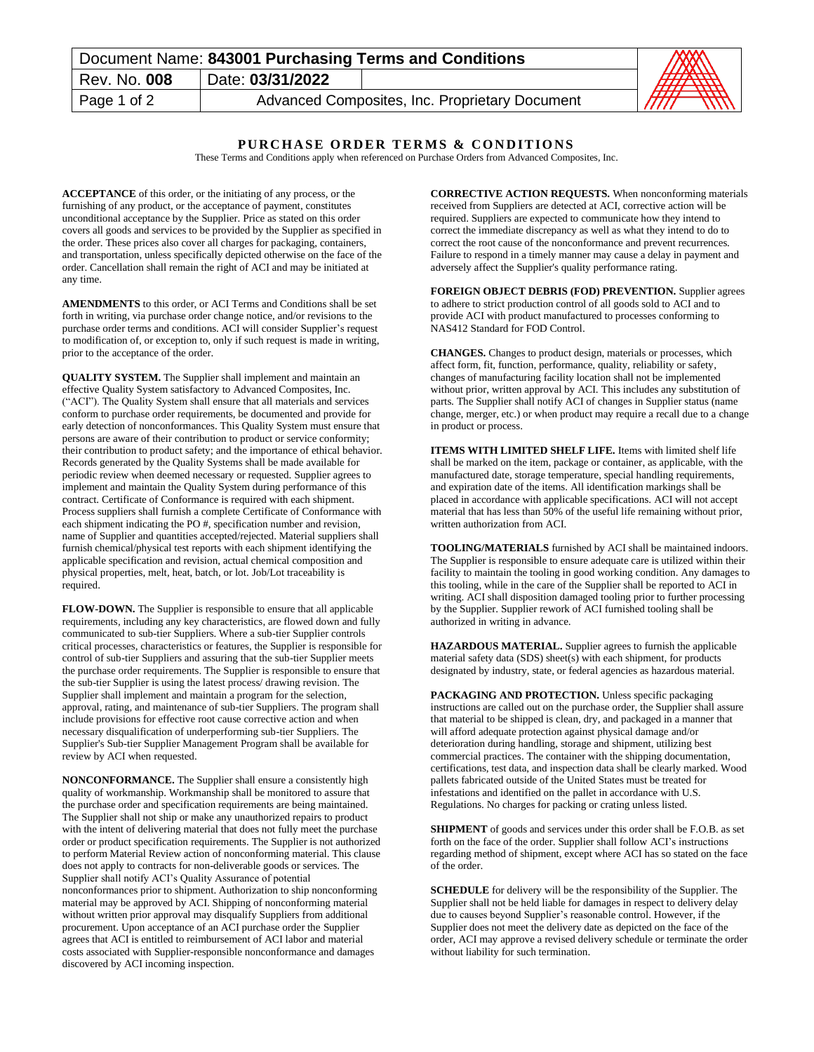| Document Name: 843001 Purchasing Terms and Conditions | AXX              |                                                |                                                    |
|-------------------------------------------------------|------------------|------------------------------------------------|----------------------------------------------------|
| Rev. No. 008                                          | Date: 03/31/2022 |                                                | AHA WAN                                            |
| Page 1 of 2                                           |                  | Advanced Composites, Inc. Proprietary Document | $\overline{\phantom{m}}$<br>$\frac{1}{2}$<br>IIIII |

## **PURCHASE ORDER TERMS & CONDITIONS**

These Terms and Conditions apply when referenced on Purchase Orders from Advanced Composites, Inc.

**ACCEPTANCE** of this order, or the initiating of any process, or the furnishing of any product, or the acceptance of payment, constitutes unconditional acceptance by the Supplier. Price as stated on this order covers all goods and services to be provided by the Supplier as specified in the order. These prices also cover all charges for packaging, containers, and transportation, unless specifically depicted otherwise on the face of the order. Cancellation shall remain the right of ACI and may be initiated at any time.

**AMENDMENTS** to this order, or ACI Terms and Conditions shall be set forth in writing, via purchase order change notice, and/or revisions to the purchase order terms and conditions. ACI will consider Supplier's request to modification of, or exception to, only if such request is made in writing, prior to the acceptance of the order.

**QUALITY SYSTEM.** The Supplier shall implement and maintain an effective Quality System satisfactory to Advanced Composites, Inc. ("ACI"). The Quality System shall ensure that all materials and services conform to purchase order requirements, be documented and provide for early detection of nonconformances. This Quality System must ensure that persons are aware of their contribution to product or service conformity; their contribution to product safety; and the importance of ethical behavior. Records generated by the Quality Systems shall be made available for periodic review when deemed necessary or requested. Supplier agrees to implement and maintain the Quality System during performance of this contract. Certificate of Conformance is required with each shipment. Process suppliers shall furnish a complete Certificate of Conformance with each shipment indicating the PO #, specification number and revision, name of Supplier and quantities accepted/rejected. Material suppliers shall furnish chemical/physical test reports with each shipment identifying the applicable specification and revision, actual chemical composition and physical properties, melt, heat, batch, or lot. Job/Lot traceability is required.

**FLOW-DOWN.** The Supplier is responsible to ensure that all applicable requirements, including any key characteristics, are flowed down and fully communicated to sub-tier Suppliers. Where a sub-tier Supplier controls critical processes, characteristics or features, the Supplier is responsible for control of sub-tier Suppliers and assuring that the sub-tier Supplier meets the purchase order requirements. The Supplier is responsible to ensure that the sub-tier Supplier is using the latest process/ drawing revision. The Supplier shall implement and maintain a program for the selection, approval, rating, and maintenance of sub-tier Suppliers. The program shall include provisions for effective root cause corrective action and when necessary disqualification of underperforming sub-tier Suppliers. The Supplier's Sub-tier Supplier Management Program shall be available for review by ACI when requested.

**NONCONFORMANCE.** The Supplier shall ensure a consistently high quality of workmanship. Workmanship shall be monitored to assure that the purchase order and specification requirements are being maintained. The Supplier shall not ship or make any unauthorized repairs to product with the intent of delivering material that does not fully meet the purchase order or product specification requirements. The Supplier is not authorized to perform Material Review action of nonconforming material. This clause does not apply to contracts for non-deliverable goods or services. The Supplier shall notify ACI's Quality Assurance of potential nonconformances prior to shipment. Authorization to ship nonconforming material may be approved by ACI. Shipping of nonconforming material without written prior approval may disqualify Suppliers from additional procurement. Upon acceptance of an ACI purchase order the Supplier agrees that ACI is entitled to reimbursement of ACI labor and material costs associated with Supplier-responsible nonconformance and damages discovered by ACI incoming inspection.

**CORRECTIVE ACTION REQUESTS.** When nonconforming materials received from Suppliers are detected at ACI, corrective action will be required. Suppliers are expected to communicate how they intend to correct the immediate discrepancy as well as what they intend to do to correct the root cause of the nonconformance and prevent recurrences. Failure to respond in a timely manner may cause a delay in payment and adversely affect the Supplier's quality performance rating.

**FOREIGN OBJECT DEBRIS (FOD) PREVENTION.** Supplier agrees to adhere to strict production control of all goods sold to ACI and to provide ACI with product manufactured to processes conforming to NAS412 Standard for FOD Control.

**CHANGES.** Changes to product design, materials or processes, which affect form, fit, function, performance, quality, reliability or safety, changes of manufacturing facility location shall not be implemented without prior, written approval by ACI. This includes any substitution of parts. The Supplier shall notify ACI of changes in Supplier status (name change, merger, etc.) or when product may require a recall due to a change in product or process.

**ITEMS WITH LIMITED SHELF LIFE.** Items with limited shelf life shall be marked on the item, package or container, as applicable, with the manufactured date, storage temperature, special handling requirements, and expiration date of the items. All identification markings shall be placed in accordance with applicable specifications. ACI will not accept material that has less than 50% of the useful life remaining without prior, written authorization from ACI.

**TOOLING/MATERIALS** furnished by ACI shall be maintained indoors. The Supplier is responsible to ensure adequate care is utilized within their facility to maintain the tooling in good working condition. Any damages to this tooling, while in the care of the Supplier shall be reported to ACI in writing. ACI shall disposition damaged tooling prior to further processing by the Supplier. Supplier rework of ACI furnished tooling shall be authorized in writing in advance.

**HAZARDOUS MATERIAL.** Supplier agrees to furnish the applicable material safety data (SDS) sheet(s) with each shipment, for products designated by industry, state, or federal agencies as hazardous material.

**PACKAGING AND PROTECTION.** Unless specific packaging instructions are called out on the purchase order, the Supplier shall assure that material to be shipped is clean, dry, and packaged in a manner that will afford adequate protection against physical damage and/or deterioration during handling, storage and shipment, utilizing best commercial practices. The container with the shipping documentation, certifications, test data, and inspection data shall be clearly marked. Wood pallets fabricated outside of the United States must be treated for infestations and identified on the pallet in accordance with U.S. Regulations. No charges for packing or crating unless listed.

**SHIPMENT** of goods and services under this order shall be F.O.B. as set forth on the face of the order. Supplier shall follow ACI's instructions regarding method of shipment, except where ACI has so stated on the face of the order.

**SCHEDULE** for delivery will be the responsibility of the Supplier. The Supplier shall not be held liable for damages in respect to delivery delay due to causes beyond Supplier's reasonable control. However, if the Supplier does not meet the delivery date as depicted on the face of the order, ACI may approve a revised delivery schedule or terminate the order without liability for such termination.